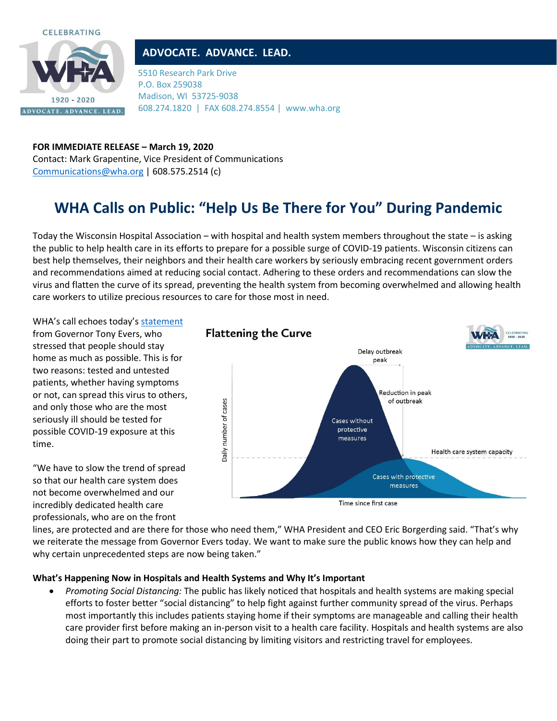



## **ADVOCATE. ADVANCE. LEAD.**

5510 Research Park Drive P.O. Box 259038 Madison, WI 53725-9038 608.274.1820 | FAX 608.274.8554 | www.wha.org

**FOR IMMEDIATE RELEASE – March 19, 2020** Contact: Mark Grapentine, Vice President of Communications [Communications@wha.org](mailto:Communications@wha.org) | 608.575.2514 (c)

## **WHA Calls on Public: "Help Us Be There for You" During Pandemic**

Today the Wisconsin Hospital Association – with hospital and health system members throughout the state – is asking the public to help health care in its efforts to prepare for a possible surge of COVID-19 patients. Wisconsin citizens can best help themselves, their neighbors and their health care workers by seriously embracing recent government orders and recommendations aimed at reducing social contact. Adhering to these orders and recommendations can slow the virus and flatten the curve of its spread, preventing the health system from becoming overwhelmed and allowing health care workers to utilize precious resources to care for those most in need.

WHA's call echoes today's [statement](https://content.govdelivery.com/accounts/WIGOV/bulletins/282251a) from Governor Tony Evers, who stressed that people should stay home as much as possible. This is for two reasons: tested and untested patients, whether having symptoms or not, can spread this virus to others, and only those who are the most seriously ill should be tested for possible COVID-19 exposure at this time.

"We have to slow the trend of spread so that our health care system does not become overwhelmed and our incredibly dedicated health care professionals, who are on the front



lines, are protected and are there for those who need them," WHA President and CEO Eric Borgerding said. "That's why we reiterate the message from Governor Evers today. We want to make sure the public knows how they can help and why certain unprecedented steps are now being taken."

## **What's Happening Now in Hospitals and Health Systems and Why It's Important**

• *Promoting Social Distancing:* The public has likely noticed that hospitals and health systems are making special efforts to foster better "social distancing" to help fight against further community spread of the virus. Perhaps most importantly this includes patients staying home if their symptoms are manageable and calling their health care provider first before making an in-person visit to a health care facility. Hospitals and health systems are also doing their part to promote social distancing by limiting visitors and restricting travel for employees.